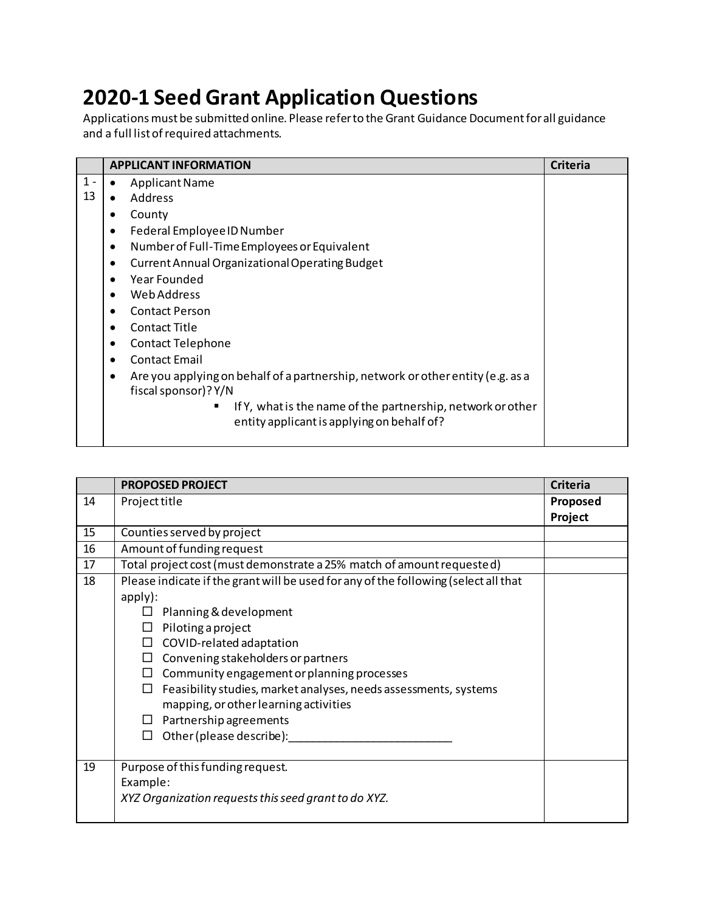## **2020-1 Seed Grant Application Questions**

Applications must be submitted online. Please refer to the Grant Guidance Document for all guidance and a full list of required attachments.

|       | <b>APPLICANT INFORMATION</b>                                                                                 | <b>Criteria</b> |
|-------|--------------------------------------------------------------------------------------------------------------|-----------------|
| $1 -$ | <b>Applicant Name</b>                                                                                        |                 |
| 13    | Address                                                                                                      |                 |
|       | County                                                                                                       |                 |
|       | Federal Employee ID Number                                                                                   |                 |
|       | Number of Full-Time Employees or Equivalent                                                                  |                 |
|       | <b>Current Annual Organizational Operating Budget</b><br>٠                                                   |                 |
|       | Year Founded                                                                                                 |                 |
|       | Web Address                                                                                                  |                 |
|       | <b>Contact Person</b>                                                                                        |                 |
|       | Contact Title                                                                                                |                 |
|       | <b>Contact Telephone</b><br>٠                                                                                |                 |
|       | <b>Contact Email</b>                                                                                         |                 |
|       | Are you applying on behalf of a partnership, network or other entity (e.g. as a<br>٠<br>fiscal sponsor)? Y/N |                 |
|       | If Y, what is the name of the partnership, network or other<br>entity applicant is applying on behalf of?    |                 |

|    | <b>PROPOSED PROJECT</b>                                                                                                                                                                                                                                                                                                                                                                                                                                                 | <b>Criteria</b>     |
|----|-------------------------------------------------------------------------------------------------------------------------------------------------------------------------------------------------------------------------------------------------------------------------------------------------------------------------------------------------------------------------------------------------------------------------------------------------------------------------|---------------------|
| 14 | Project title                                                                                                                                                                                                                                                                                                                                                                                                                                                           | Proposed<br>Project |
| 15 | Counties served by project                                                                                                                                                                                                                                                                                                                                                                                                                                              |                     |
| 16 | Amount of funding request                                                                                                                                                                                                                                                                                                                                                                                                                                               |                     |
| 17 | Total project cost (must demonstrate a 25% match of amount requested)                                                                                                                                                                                                                                                                                                                                                                                                   |                     |
| 18 | Please indicate if the grant will be used for any of the following (select all that<br>apply):<br>Planning & development<br>Piloting a project<br>П<br>COVID-related adaptation<br>$\Box$<br>Convening stakeholders or partners<br>Community engagement or planning processes<br>Feasibility studies, market analyses, needs assessments, systems<br>$\Box$<br>mapping, or other learning activities<br>$\Box$ Partnership agreements<br>Other (please describe):<br>П. |                     |
| 19 | Purpose of this funding request.<br>Example:<br>XYZ Organization requests this seed grant to do XYZ.                                                                                                                                                                                                                                                                                                                                                                    |                     |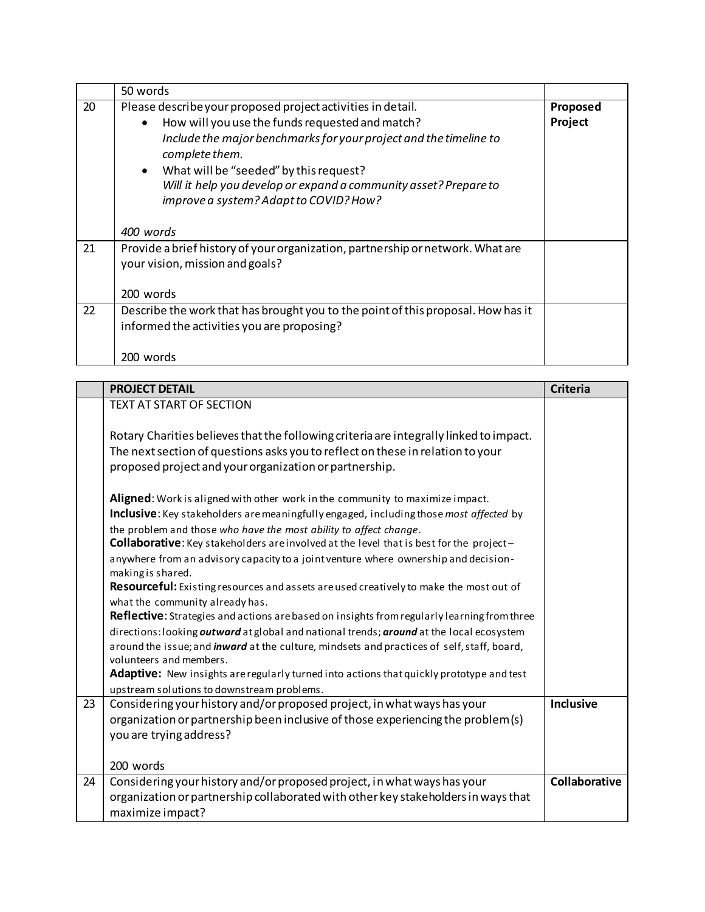|    | 50 words                                                                                                                                                                                                                                                                                                                                                                                |                     |
|----|-----------------------------------------------------------------------------------------------------------------------------------------------------------------------------------------------------------------------------------------------------------------------------------------------------------------------------------------------------------------------------------------|---------------------|
| 20 | Please describe your proposed project activities in detail.<br>How will you use the funds requested and match?<br>$\bullet$<br>Include the major benchmarks for your project and the timeline to<br>complete them.<br>What will be "seeded" by this request?<br>$\bullet$<br>Will it help you develop or expand a community asset? Prepare to<br>improve a system? Adapt to COVID? How? | Proposed<br>Project |
|    | 400 words                                                                                                                                                                                                                                                                                                                                                                               |                     |
| 21 | Provide a brief history of your organization, partnership or network. What are<br>your vision, mission and goals?<br>200 words                                                                                                                                                                                                                                                          |                     |
| 22 | Describe the work that has brought you to the point of this proposal. How has it                                                                                                                                                                                                                                                                                                        |                     |
|    | informed the activities you are proposing?                                                                                                                                                                                                                                                                                                                                              |                     |
|    | 200 words                                                                                                                                                                                                                                                                                                                                                                               |                     |

|    | <b>PROJECT DETAIL</b>                                                                                                 | <b>Criteria</b>      |
|----|-----------------------------------------------------------------------------------------------------------------------|----------------------|
|    | <b>TEXT AT START OF SECTION</b>                                                                                       |                      |
|    |                                                                                                                       |                      |
|    | Rotary Charities believes that the following criteria are integrally linked to impact.                                |                      |
|    | The next section of questions asks you to reflect on these in relation to your                                        |                      |
|    | proposed project and your organization or partnership.                                                                |                      |
|    | Aligned: Work is aligned with other work in the community to maximize impact.                                         |                      |
|    | Inclusive: Key stakeholders are meaningfully engaged, including those most affected by                                |                      |
|    | the problem and those who have the most ability to affect change.                                                     |                      |
|    | Collaborative: Key stakeholders are involved at the level that is best for the project-                               |                      |
|    | anywhere from an advisory capacity to a joint venture where ownership and decision-                                   |                      |
|    | making is shared.                                                                                                     |                      |
|    | Resourceful: Existing resources and assets are used creatively to make the most out of                                |                      |
|    | what the community already has.                                                                                       |                      |
|    | Reflective: Strategies and actions are based on insights from regularly learning from three                           |                      |
|    | directions: looking outward at global and national trends; around at the local ecosystem                              |                      |
|    | around the issue; and inward at the culture, mindsets and practices of self, staff, board,<br>volunteers and members. |                      |
|    | Adaptive: New insights are regularly turned into actions that quickly prototype and test                              |                      |
|    | upstream solutions to downstream problems.                                                                            |                      |
| 23 | Considering your history and/or proposed project, in what ways has your                                               | Inclusive            |
|    | organization or partnership been inclusive of those experiencing the problem (s)                                      |                      |
|    | you are trying address?                                                                                               |                      |
|    | 200 words                                                                                                             |                      |
| 24 | Considering your history and/or proposed project, in what ways has your                                               | <b>Collaborative</b> |
|    | organization or partnership collaborated with other key stakeholders in ways that                                     |                      |
|    | maximize impact?                                                                                                      |                      |